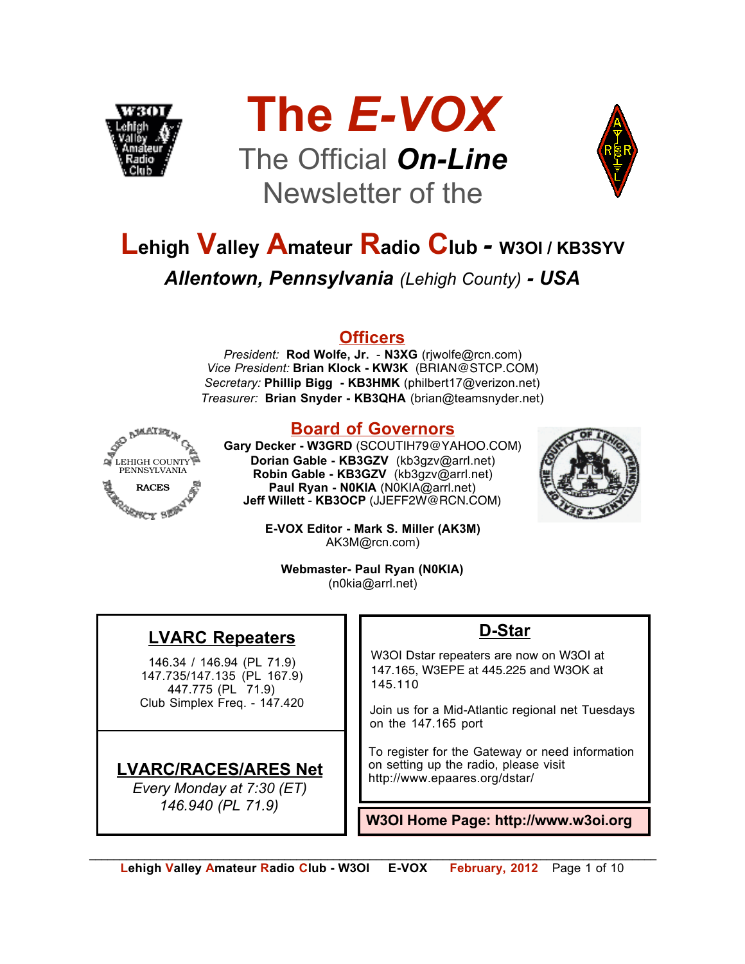





## **Lehigh Valley Amateur Radio Club** *-* **W3OI / KB3SYV** *Allentown, Pennsylvania (Lehigh County) - USA*

#### **Officers**

*President:* **Rod Wolfe, Jr.** - **N3XG** (rjwolfe@rcn.com) *Vice President:* **Brian Klock - KW3K** (BRIAN@STCP.COM) *Secretary:* **Phillip Bigg - KB3HMK** (philbert17@verizon.net) *Treasurer:* **Brian Snyder - KB3QHA** (brian@teamsnyder.net)



#### **Board of Governors**

**Gary Decker - W3GRD** (SCOUTIH79@YAHOO.COM) **Dorian Gable - KB3GZV** (kb3gzv@arrl.net) **Robin Gable - KB3GZV** (kb3gzv@arrl.net) **Paul Ryan - N0KIA** (N0KIA@arrl.net) **Jeff Willett** - **KB3OCP** (JJEFF2W@RCN.COM)



**E-VOX Editor - Mark S. Miller (AK3M)** AK3M@rcn.com)

**Webmaster- Paul Ryan (N0KIA)** (n0kia@arrl.net)

#### **LVARC Repeaters**

146.34 / 146.94 (PL 71.9) 147.735/147.135 (PL 167.9) 447.775 (PL 71.9) Club Simplex Freq. - 147.420

#### **LVARC/RACES/ARES Net**

*Every Monday at 7:30 (ET) 146.940 (PL 71.9)*

#### **D-Star**

W3OI Dstar repeaters are now on W3OI at 147.165, W3EPE at 445.225 and W3OK at 145.110

Join us for a Mid-Atlantic regional net Tuesdays on the 147.165 port

To register for the Gateway or need information on setting up the radio, please visit http://www.epaares.org/dstar/

**W3OI Home Page: http://www.w3oi.org**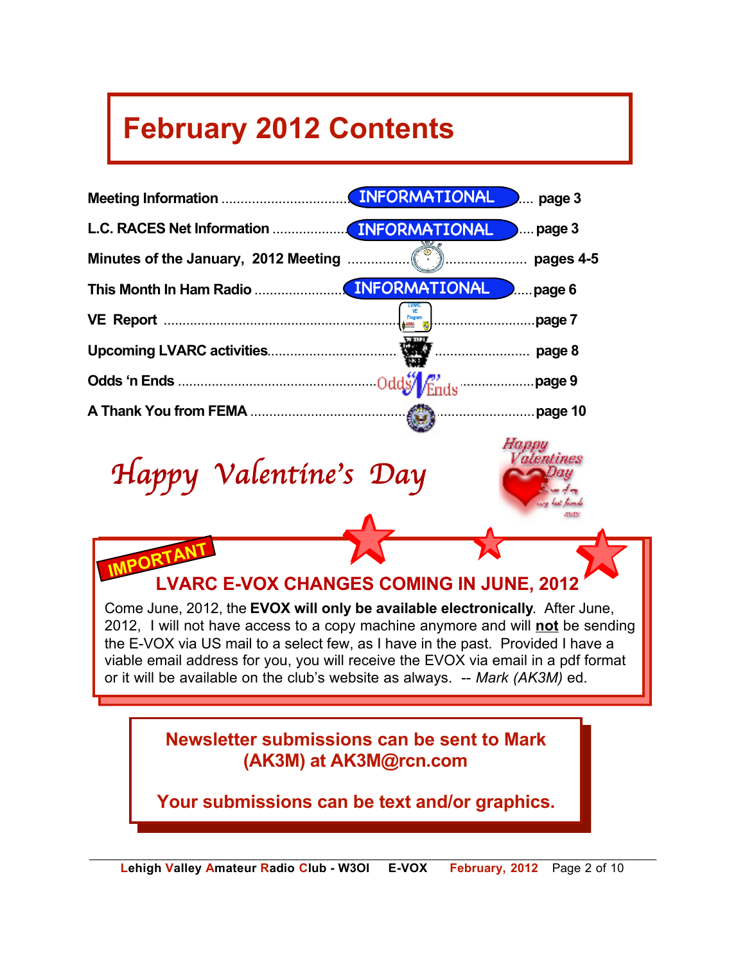## **February 2012 Contents**



**Your submissions can be text and/or graphics.**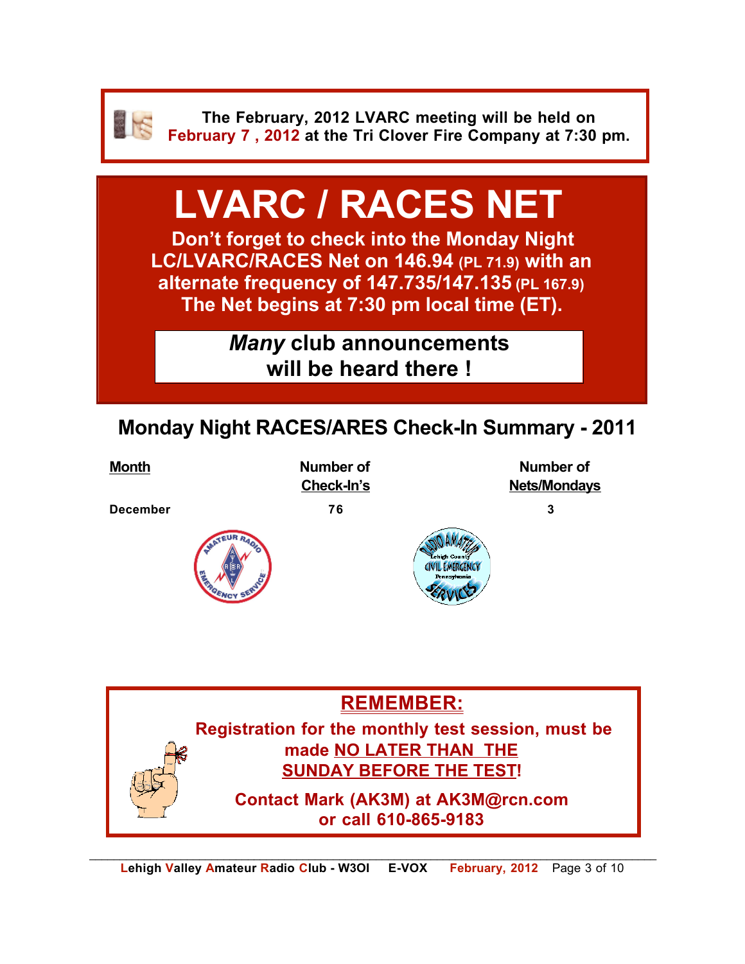

**The February, 2012 LVARC meeting will be held on February 7 , 2012 at the Tri Clover Fire Company at 7:30 pm.**

# **LVARC / RACES NET**

**Don't forget to check into the Monday Night LC/LVARC/RACES Net on 146.94 (PL 71.9) with an alternate frequency of 147.735/147.135 (PL 167.9) The Net begins at 7:30 pm local time (ET).** 

> *Many* **club announcements will be heard there !**

## **Monday Night RACES/ARES Check-In Summary - 2011**

**Month Mumber of The Contract August 2016** Mumber of **Number of Number** of **Check-In's** Nets/Mondays

**December 76 3**





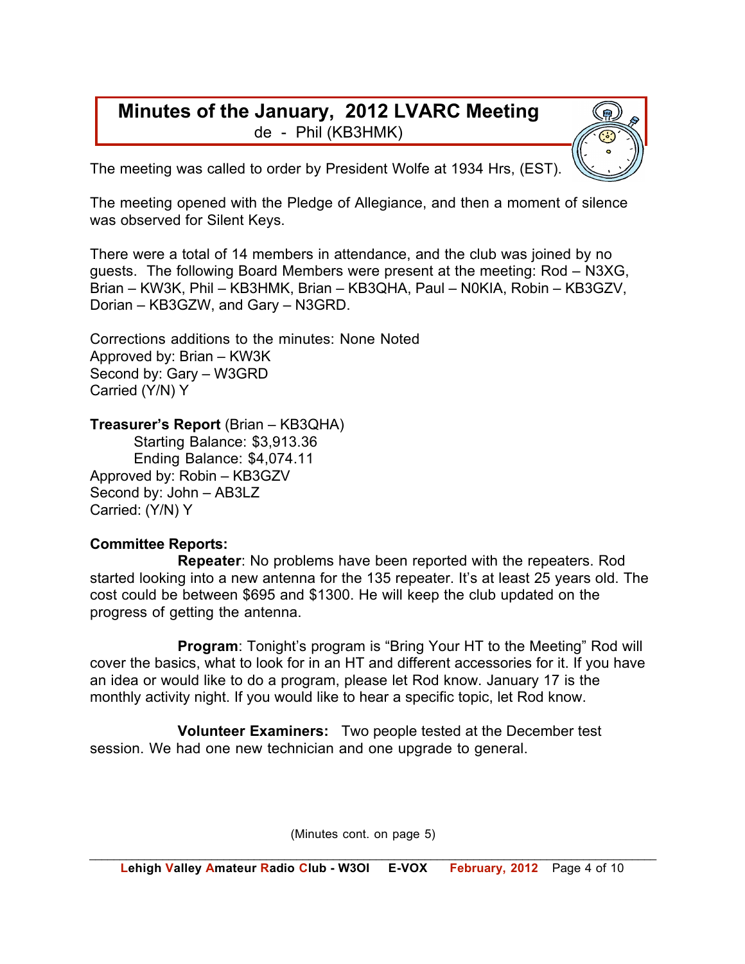#### **Minutes of the January, 2012 LVARC Meeting** de - Phil (KB3HMK)

The meeting was called to order by President Wolfe at 1934 Hrs, (EST).

The meeting opened with the Pledge of Allegiance, and then a moment of silence was observed for Silent Keys.

There were a total of 14 members in attendance, and the club was joined by no guests. The following Board Members were present at the meeting: Rod – N3XG, Brian – KW3K, Phil – KB3HMK, Brian – KB3QHA, Paul – N0KIA, Robin – KB3GZV, Dorian – KB3GZW, and Gary – N3GRD.

Corrections additions to the minutes: None Noted Approved by: Brian – KW3K Second by: Gary – W3GRD Carried (Y/N) Y

#### **Treasurer's Report** (Brian – KB3QHA)

Starting Balance: \$3,913.36 Ending Balance: \$4,074.11 Approved by: Robin – KB3GZV Second by: John – AB3LZ Carried: (Y/N) Y

#### **Committee Reports:**

**Repeater**: No problems have been reported with the repeaters. Rod started looking into a new antenna for the 135 repeater. It's at least 25 years old. The cost could be between \$695 and \$1300. He will keep the club updated on the progress of getting the antenna.

**Program**: Tonight's program is "Bring Your HT to the Meeting" Rod will cover the basics, what to look for in an HT and different accessories for it. If you have an idea or would like to do a program, please let Rod know. January 17 is the monthly activity night. If you would like to hear a specific topic, let Rod know.

**Volunteer Examiners:** Two people tested at the December test session. We had one new technician and one upgrade to general.

(Minutes cont. on page 5)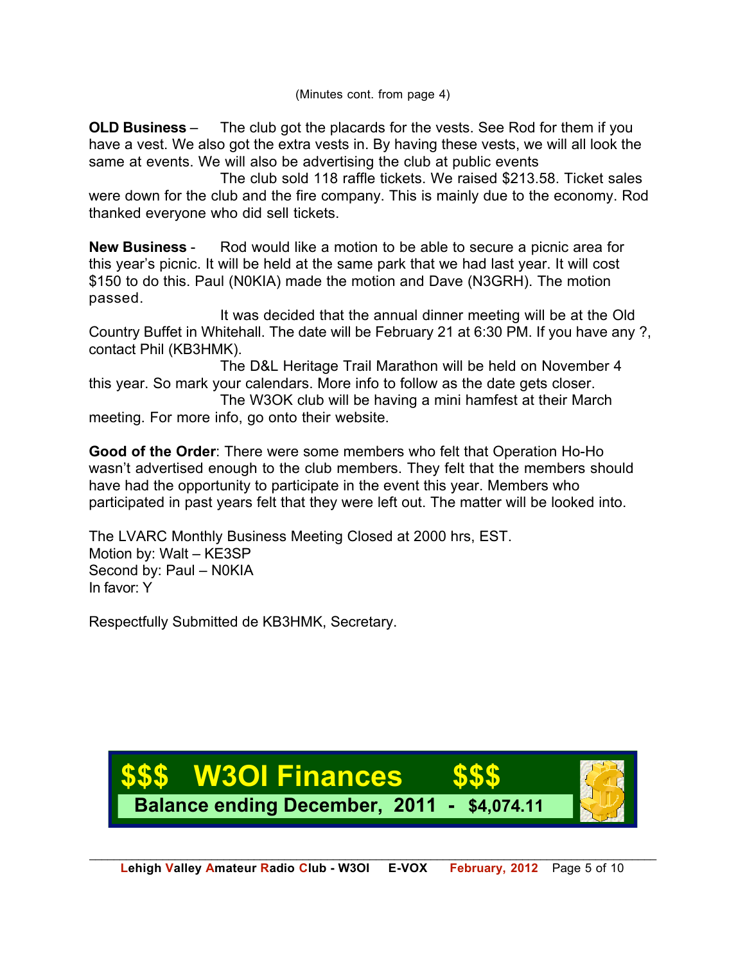**OLD Business** – The club got the placards for the vests. See Rod for them if you have a vest. We also got the extra vests in. By having these vests, we will all look the same at events. We will also be advertising the club at public events

The club sold 118 raffle tickets. We raised \$213.58. Ticket sales were down for the club and the fire company. This is mainly due to the economy. Rod thanked everyone who did sell tickets.

**New Business** - Rod would like a motion to be able to secure a picnic area for this year's picnic. It will be held at the same park that we had last year. It will cost \$150 to do this. Paul (N0KIA) made the motion and Dave (N3GRH). The motion passed.

It was decided that the annual dinner meeting will be at the Old Country Buffet in Whitehall. The date will be February 21 at 6:30 PM. If you have any ?, contact Phil (KB3HMK).

The D&L Heritage Trail Marathon will be held on November 4 this year. So mark your calendars. More info to follow as the date gets closer.

The W3OK club will be having a mini hamfest at their March meeting. For more info, go onto their website.

**Good of the Order**: There were some members who felt that Operation Ho-Ho wasn't advertised enough to the club members. They felt that the members should have had the opportunity to participate in the event this year. Members who participated in past years felt that they were left out. The matter will be looked into.

The LVARC Monthly Business Meeting Closed at 2000 hrs, EST. Motion by: Walt – KE3SP Second by: Paul – N0KIA In favor: Y

Respectfully Submitted de KB3HMK, Secretary.

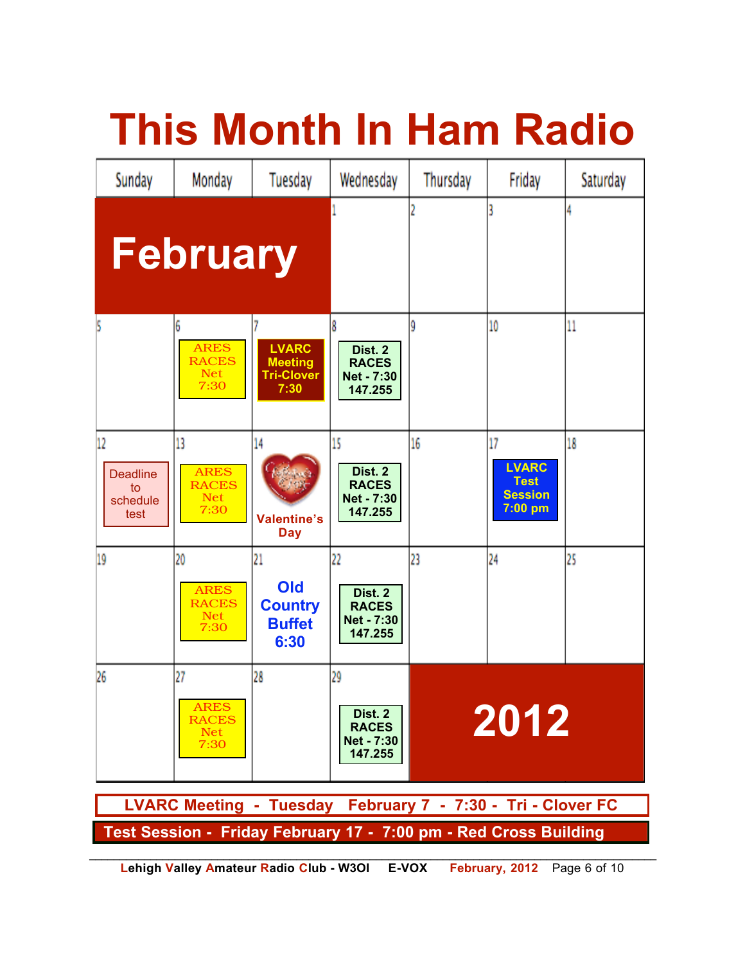|                                                                  |                                                         |                                                             | <b>This Month In Ham Radio</b>                         |          |                                                                  |          |
|------------------------------------------------------------------|---------------------------------------------------------|-------------------------------------------------------------|--------------------------------------------------------|----------|------------------------------------------------------------------|----------|
| Sunday                                                           | Monday                                                  | Tuesday                                                     | Wednesday                                              | Thursday | Friday                                                           | Saturday |
|                                                                  | <b>February</b>                                         |                                                             |                                                        |          |                                                                  |          |
|                                                                  | <b>ARES</b><br><b>RACES</b><br>Net<br>7:30              | <b>LVARC</b><br><b>Meeting</b><br><b>Tri-Clover</b><br>7:30 | Dist. 2<br><b>RACES</b><br>Net - 7:30<br>147.255       | ŷ        | 10                                                               | 11       |
| 12<br><b>Deadline</b><br>to<br>schedule<br>test                  | 13<br><b>ARES</b><br><b>RACES</b><br><b>Net</b><br>7:30 | 14<br><b>Valentine's</b><br><b>Day</b>                      | 15<br>Dist. 2<br><b>RACES</b><br>Net - 7:30<br>147.255 | 16       | 17<br><b>LVARC</b><br><b>Test</b><br><b>Session</b><br>$7:00$ pm | 18       |
| 19                                                               | 20<br><b>ARES</b><br><b>RACES</b><br><b>Net</b><br>7:30 | 21<br><b>Old</b><br><b>Country</b><br><b>Buffet</b><br>6:30 | 22<br>Dist. 2<br><b>RACES</b><br>Net - 7:30<br>147.255 | 23       | 24                                                               | 25       |
| 26                                                               | 27<br><b>ARES</b><br><b>RACES</b><br><b>Net</b><br>7:30 | 28                                                          | 29<br>Dist. 2<br><b>RACES</b><br>Net - 7:30<br>147.255 | 2012     |                                                                  |          |
| LVARC Meeting - Tuesday February 7 - 7:30 - Tri - Clover FC      |                                                         |                                                             |                                                        |          |                                                                  |          |
| Test Session - Friday February 17 - 7:00 pm - Red Cross Building |                                                         |                                                             |                                                        |          |                                                                  |          |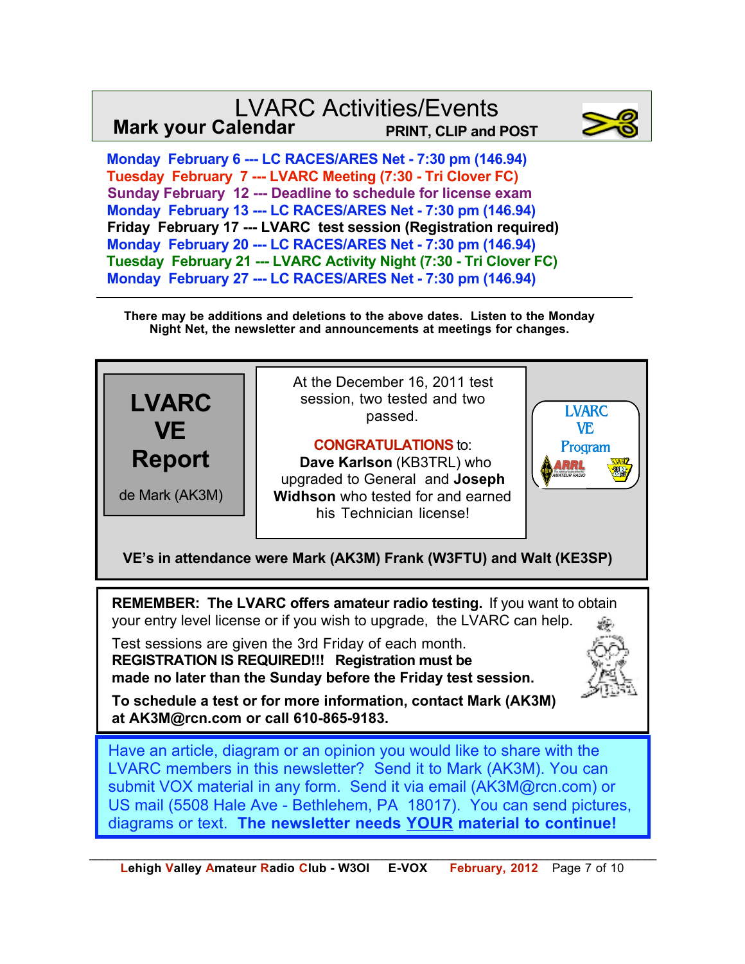#### LVARC Activities/Events **Mark your Calendar PRINT, CLIP and POST**



 **Monday February 6 --- LC RACES/ARES Net - 7:30 pm (146.94) Tuesday February 7 --- LVARC Meeting (7:30 - Tri Clover FC) Sunday February 12 --- Deadline to schedule for license exam Monday February 13 --- LC RACES/ARES Net - 7:30 pm (146.94) Friday February 17 --- LVARC test session (Registration required) Monday February 20 --- LC RACES/ARES Net - 7:30 pm (146.94) Tuesday February 21 --- LVARC Activity Night (7:30 - Tri Clover FC) Monday February 27 --- LC RACES/ARES Net - 7:30 pm (146.94)**

**There may be additions and deletions to the above dates. Listen to the Monday Night Net, the newsletter and announcements at meetings for changes.**

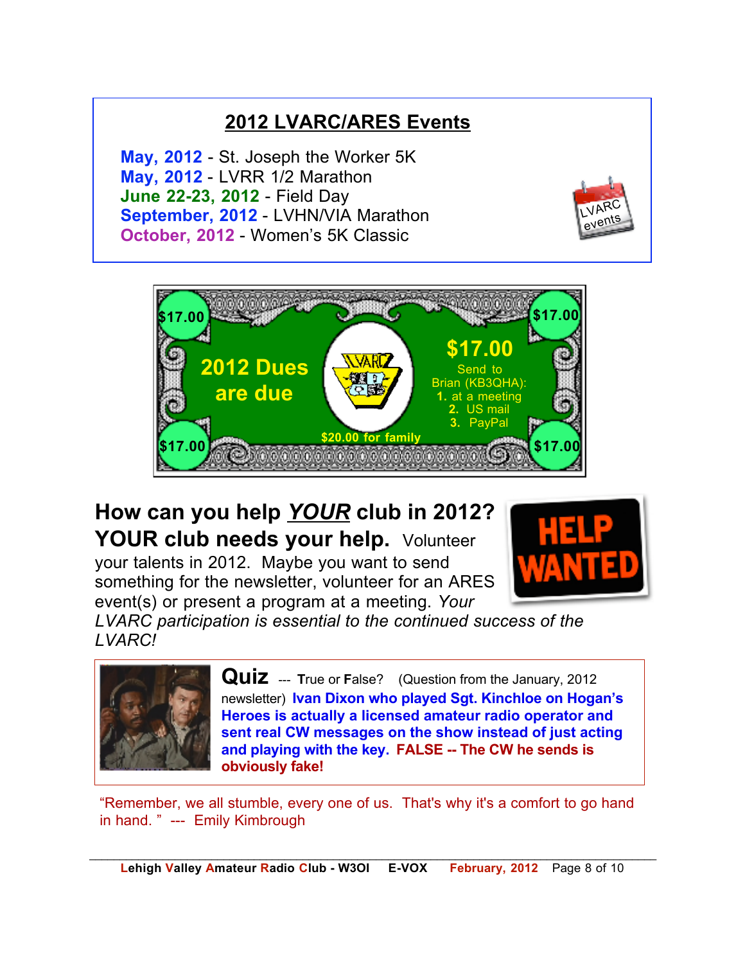### **2012 LVARC/ARES Events**

**May, 2012** - St. Joseph the Worker 5K **May, 2012** - LVRR 1/2 Marathon **June 22-23, 2012** - Field Day **September, 2012** - LVHN/VIA Marathon **October, 2012** - Women's 5K Classic





## **How can you help** *YOUR* **club in 2012? YOUR club needs your help.** Volunteer

your talents in 2012. Maybe you want to send something for the newsletter, volunteer for an ARES event(s) or present a program at a meeting. *Your* 



*LVARC participation is essential to the continued success of the LVARC!*



**Quiz** --- **True or False?** (Question from the January, 2012 newsletter) **Ivan Dixon who played Sgt. Kinchloe on Hogan's Heroes is actually a licensed amateur radio operator and sent real CW messages on the show instead of just acting and playing with the key. FALSE -- The CW he sends is obviously fake!**

"Remember, we all stumble, every one of us. That's why it's a comfort to go hand in hand. " --- Emily Kimbrough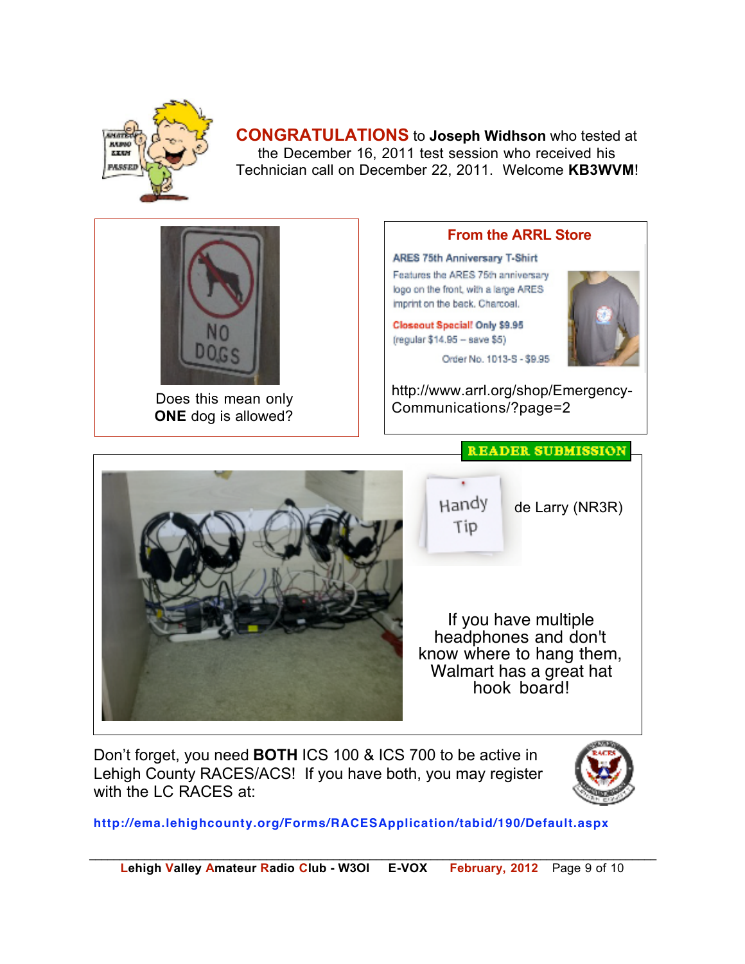

**CONGRATULATIONS** to **Joseph Widhson** who tested at the December 16, 2011 test session who received his Technician call on December 22, 2011. Welcome **KB3WVM**!



Does this mean only **ONE** dog is allowed?

with the LC RACES at:

#### **From the ARRL Store**

ARES 75th Anniversary T-Shirt Features the ARES 75th anniversary logo on the front, with a large ARES imprint on the back. Charcoal.

Closeout Special! Only \$9.95 (regular \$14.95 - save \$5)



de Larry (NR3R)

Order No. 1013-S - \$9.95

http://www.arrl.org/shop/Emergency-Communications/?page=2



Don't forget, you need **BOTH** ICS 100 & ICS 700 to be active in Lehigh County RACES/ACS! If you have both, you may register



**http://ema.lehighcounty.org/Forms/RACESApplication/tabid/190/Default.aspx**